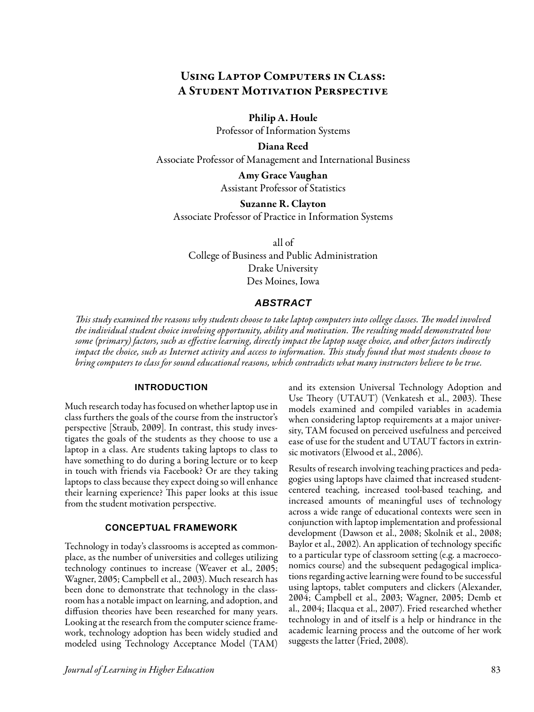# Using Laptop Computers in Class: A Student Motivation Perspective

### Philip A. Houle

Professor of Information Systems

#### Diana Reed

Associate Professor of Management and International Business

### Amy Grace Vaughan Assistant Professor of Statistics

Suzanne R. Clayton Associate Professor of Practice in Information Systems

all of College of Business and Public Administration Drake University Des Moines, Iowa

### *ABSTRACT*

*This study examined the reasons why students choose to take laptop computers into college classes. The model involved the individual student choice involving opportunity, ability and motivation. The resulting model demonstrated how some (primary) factors, such as effective learning, directly impact the laptop usage choice, and other factors indirectly impact the choice, such as Internet activity and access to information. This study found that most students choose to bring computers to class for sound educational reasons, which contradicts what many instructors believe to be true.* 

#### **INTRODUCTION**

Much research today has focused on whether laptop use in class furthers the goals of the course from the instructor's perspective [Straub, 2009]. In contrast, this study investigates the goals of the students as they choose to use a laptop in a class. Are students taking laptops to class to have something to do during a boring lecture or to keep in touch with friends via Facebook? Or are they taking laptops to class because they expect doing so will enhance their learning experience? This paper looks at this issue from the student motivation perspective.

#### **CONCEPTUAL FRAMEWORK**

Technology in today's classrooms is accepted as commonplace, as the number of universities and colleges utilizing technology continues to increase (Weaver et al., 2005; Wagner, 2005; Campbell et al., 2003). Much research has been done to demonstrate that technology in the classroom has a notable impact on learning, and adoption, and diffusion theories have been researched for many years. Looking at the research from the computer science framework, technology adoption has been widely studied and modeled using Technology Acceptance Model (TAM)

and its extension Universal Technology Adoption and Use Theory (UTAUT) (Venkatesh et al., 2003). These models examined and compiled variables in academia when considering laptop requirements at a major university, TAM focused on perceived usefulness and perceived ease of use for the student and UTAUT factors in extrinsic motivators (Elwood et al., 2006).

Results of research involving teaching practices and pedagogies using laptops have claimed that increased studentcentered teaching, increased tool-based teaching, and increased amounts of meaningful uses of technology across a wide range of educational contexts were seen in conjunction with laptop implementation and professional development (Dawson et al., 2008; Skolnik et al., 2008; Baylor et al., 2002). An application of technology specific to a particular type of classroom setting (e.g. a macroeconomics course) and the subsequent pedagogical implications regarding active learning were found to be successful using laptops, tablet computers and clickers (Alexander, 2004; Campbell et al., 2003; Wagner, 2005; Demb et al., 2004; Ilacqua et al., 2007). Fried researched whether technology in and of itself is a help or hindrance in the academic learning process and the outcome of her work suggests the latter (Fried, 2008).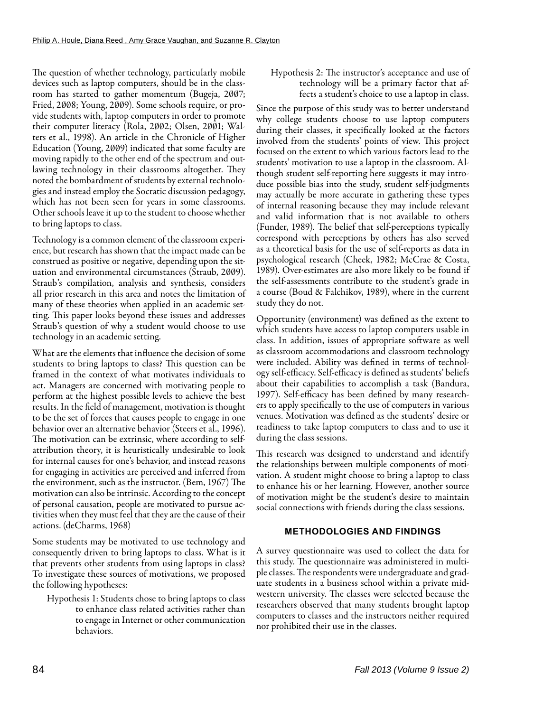The question of whether technology, particularly mobile devices such as laptop computers, should be in the classroom has started to gather momentum (Bugeja, 2007; Fried, 2008; Young, 2009). Some schools require, or provide students with, laptop computers in order to promote their computer literacy (Rola, 2002; Olsen, 2001; Walters et al., 1998). An article in the Chronicle of Higher Education (Young, 2009) indicated that some faculty are moving rapidly to the other end of the spectrum and outlawing technology in their classrooms altogether. They noted the bombardment of students by external technologies and instead employ the Socratic discussion pedagogy, which has not been seen for years in some classrooms. Other schools leave it up to the student to choose whether to bring laptops to class.

Technology is a common element of the classroom experience, but research has shown that the impact made can be construed as positive or negative, depending upon the situation and environmental circumstances (Straub, 2009). Straub's compilation, analysis and synthesis, considers all prior research in this area and notes the limitation of many of these theories when applied in an academic setting. This paper looks beyond these issues and addresses Straub's question of why a student would choose to use technology in an academic setting.

What are the elements that influence the decision of some students to bring laptops to class? This question can be framed in the context of what motivates individuals to act. Managers are concerned with motivating people to perform at the highest possible levels to achieve the best results. In the field of management, motivation is thought to be the set of forces that causes people to engage in one behavior over an alternative behavior (Steers et al., 1996). The motivation can be extrinsic, where according to selfattribution theory, it is heuristically undesirable to look for internal causes for one's behavior, and instead reasons for engaging in activities are perceived and inferred from the environment, such as the instructor. (Bem, 1967) The motivation can also be intrinsic. According to the concept of personal causation, people are motivated to pursue activities when they must feel that they are the cause of their actions. (deCharms, 1968)

Some students may be motivated to use technology and consequently driven to bring laptops to class. What is it that prevents other students from using laptops in class? To investigate these sources of motivations, we proposed the following hypotheses:

Hypothesis 1: Students chose to bring laptops to class to enhance class related activities rather than to engage in Internet or other communication behaviors.

Hypothesis 2: The instructor's acceptance and use of technology will be a primary factor that affects a student's choice to use a laptop in class.

Since the purpose of this study was to better understand why college students choose to use laptop computers during their classes, it specifically looked at the factors involved from the students' points of view. This project focused on the extent to which various factors lead to the students' motivation to use a laptop in the classroom. Although student self-reporting here suggests it may introduce possible bias into the study, student self-judgments may actually be more accurate in gathering these types of internal reasoning because they may include relevant and valid information that is not available to others (Funder, 1989). The belief that self-perceptions typically correspond with perceptions by others has also served as a theoretical basis for the use of self-reports as data in psychological research (Cheek, 1982; McCrae & Costa, 1989). Over-estimates are also more likely to be found if the self-assessments contribute to the student's grade in a course (Boud & Falchikov, 1989), where in the current study they do not.

Opportunity (environment) was defined as the extent to which students have access to laptop computers usable in class. In addition, issues of appropriate software as well as classroom accommodations and classroom technology were included. Ability was defined in terms of technology self-efficacy. Self-efficacy is defined as students' beliefs about their capabilities to accomplish a task (Bandura, 1997). Self-efficacy has been defined by many researchers to apply specifically to the use of computers in various venues. Motivation was defined as the students' desire or readiness to take laptop computers to class and to use it during the class sessions.

This research was designed to understand and identify the relationships between multiple components of motivation. A student might choose to bring a laptop to class to enhance his or her learning. However, another source of motivation might be the student's desire to maintain social connections with friends during the class sessions.

# **METHODOLOGIES AND FINDINGS**

A survey questionnaire was used to collect the data for this study. The questionnaire was administered in multiple classes. The respondents were undergraduate and graduate students in a business school within a private midwestern university. The classes were selected because the researchers observed that many students brought laptop computers to classes and the instructors neither required nor prohibited their use in the classes.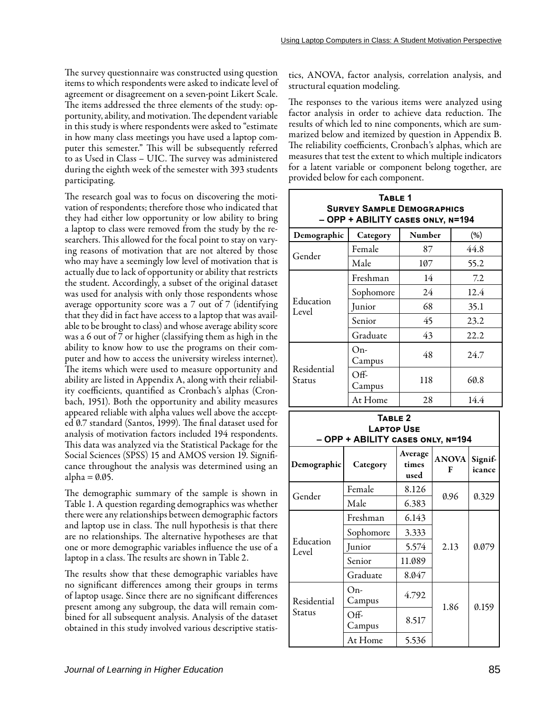The survey questionnaire was constructed using question items to which respondents were asked to indicate level of agreement or disagreement on a seven-point Likert Scale. The items addressed the three elements of the study: opportunity, ability, and motivation. The dependent variable in this study is where respondents were asked to "estimate in how many class meetings you have used a laptop computer this semester." This will be subsequently referred to as Used in Class – UIC. The survey was administered during the eighth week of the semester with 393 students participating.

The research goal was to focus on discovering the motivation of respondents; therefore those who indicated that they had either low opportunity or low ability to bring a laptop to class were removed from the study by the researchers. This allowed for the focal point to stay on varying reasons of motivation that are not altered by those who may have a seemingly low level of motivation that is actually due to lack of opportunity or ability that restricts the student. Accordingly, a subset of the original dataset was used for analysis with only those respondents whose average opportunity score was a 7 out of 7 (identifying that they did in fact have access to a laptop that was available to be brought to class) and whose average ability score was a 6 out of 7 or higher (classifying them as high in the ability to know how to use the programs on their computer and how to access the university wireless internet). The items which were used to measure opportunity and ability are listed in Appendix A, along with their reliability coefficients, quantified as Cronbach's alphas (Cronbach, 1951). Both the opportunity and ability measures appeared reliable with alpha values well above the accepted 0.7 standard (Santos, 1999). The final dataset used for analysis of motivation factors included 194 respondents. This data was analyzed via the Statistical Package for the Social Sciences (SPSS) 15 and AMOS version 19. Significance throughout the analysis was determined using an alpha  $= 0.05$ .

The demographic summary of the sample is shown in Table 1. A question regarding demographics was whether there were any relationships between demographic factors and laptop use in class. The null hypothesis is that there are no relationships. The alternative hypotheses are that one or more demographic variables influence the use of a laptop in a class. The results are shown in Table 2.

The results show that these demographic variables have no significant differences among their groups in terms of laptop usage. Since there are no significant differences present among any subgroup, the data will remain combined for all subsequent analysis. Analysis of the dataset obtained in this study involved various descriptive statistics, ANOVA, factor analysis, correlation analysis, and structural equation modeling.

The responses to the various items were analyzed using factor analysis in order to achieve data reduction. The results of which led to nine components, which are summarized below and itemized by question in Appendix B. The reliability coefficients, Cronbach's alphas, which are measures that test the extent to which multiple indicators for a latent variable or component belong together, are provided below for each component.

| TABLE 1<br><b>SURVEY SAMPLE DEMOGRAPHICS</b><br>- OPP + ABILITY CASES ONLY, N=194 |                |        |        |  |  |  |
|-----------------------------------------------------------------------------------|----------------|--------|--------|--|--|--|
| Demographic                                                                       | Category       | Number | $(\%)$ |  |  |  |
| Gender                                                                            | Female         | 87     | 44.8   |  |  |  |
|                                                                                   | Male           | 107    | 55.2   |  |  |  |
| Education<br>Level                                                                | Freshman       | 14     | 7.2    |  |  |  |
|                                                                                   | Sophomore      | 24     | 12.4   |  |  |  |
|                                                                                   | Junior         | 68     | 35.1   |  |  |  |
|                                                                                   | Senior         | 45     | 23.2   |  |  |  |
|                                                                                   | Graduate       | 43     | 22.2   |  |  |  |
|                                                                                   | On-<br>Campus  | 48     | 24.7   |  |  |  |
| Residential<br>Status                                                             | Off-<br>Campus | 118    | 60.8   |  |  |  |
|                                                                                   | At Home        | 28     | 14.4   |  |  |  |

**Table 2 Laptop Use – OPP + ABILITY cases only, n=194**

| Demographic        | Category       | Average<br>times<br>used | <b>ANOVA</b><br>F | Signif-<br>icance |  |
|--------------------|----------------|--------------------------|-------------------|-------------------|--|
| Gender             | Female         | 8.126                    | 0.96              | 0.329             |  |
|                    | Male           | 6.383                    |                   |                   |  |
| Education<br>Level | Freshman       | 6.143                    |                   | 0.079             |  |
|                    | Sophomore      | 3.333                    |                   |                   |  |
|                    | Junior         | 5.574                    | 2.13              |                   |  |
|                    | Senior         | 11.089                   |                   |                   |  |
|                    | Graduate       | 8.047                    |                   |                   |  |
| Residential        | On-<br>Campus  | 4.792                    | 1.86              | 0.159             |  |
| Status             | Off-<br>Campus | 8.517                    |                   |                   |  |
|                    | At Home        | 5.536                    |                   |                   |  |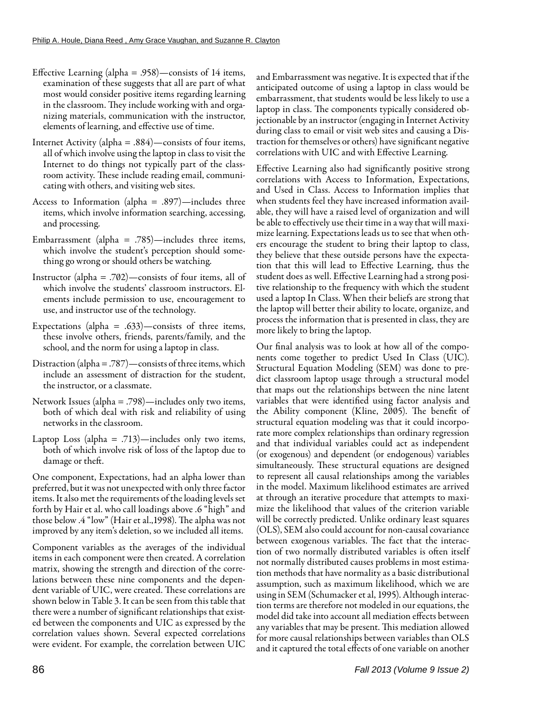- Effective Learning (alpha = .958)—consists of 14 items, examination of these suggests that all are part of what most would consider positive items regarding learning in the classroom. They include working with and organizing materials, communication with the instructor, elements of learning, and effective use of time.
- Internet Activity (alpha = .884)—consists of four items, all of which involve using the laptop in class to visit the Internet to do things not typically part of the classroom activity. These include reading email, communicating with others, and visiting web sites.
- Access to Information (alpha = .897)—includes three items, which involve information searching, accessing, and processing.
- Embarrassment (alpha = .785)—includes three items, which involve the student's perception should something go wrong or should others be watching.
- Instructor (alpha = .702)—consists of four items, all of which involve the students' classroom instructors. Elements include permission to use, encouragement to use, and instructor use of the technology.
- Expectations (alpha = .633)—consists of three items, these involve others, friends, parents/family, and the school, and the norm for using a laptop in class.
- Distraction (alpha = .787)—consists of three items, which include an assessment of distraction for the student, the instructor, or a classmate.
- Network Issues (alpha = .798)—includes only two items, both of which deal with risk and reliability of using networks in the classroom.
- Laptop Loss (alpha = .713)—includes only two items, both of which involve risk of loss of the laptop due to damage or theft.

One component, Expectations, had an alpha lower than preferred, but it was not unexpected with only three factor items. It also met the requirements of the loading levels set forth by Hair et al. who call loadings above .6 "high" and those below .4 "low" (Hair et al.,1998). The alpha was not improved by any item's deletion, so we included all items.

Component variables as the averages of the individual items in each component were then created. A correlation matrix, showing the strength and direction of the correlations between these nine components and the dependent variable of UIC, were created. These correlations are shown below in Table 3. It can be seen from this table that there were a number of significant relationships that existed between the components and UIC as expressed by the correlation values shown. Several expected correlations were evident. For example, the correlation between UIC

and Embarrassment was negative. It is expected that if the anticipated outcome of using a laptop in class would be embarrassment, that students would be less likely to use a laptop in class. The components typically considered objectionable by an instructor (engaging in Internet Activity during class to email or visit web sites and causing a Distraction for themselves or others) have significant negative correlations with UIC and with Effective Learning.

Effective Learning also had significantly positive strong correlations with Access to Information, Expectations, and Used in Class. Access to Information implies that when students feel they have increased information available, they will have a raised level of organization and will be able to effectively use their time in a way that will maximize learning. Expectations leads us to see that when others encourage the student to bring their laptop to class, they believe that these outside persons have the expectation that this will lead to Effective Learning, thus the student does as well. Effective Learning had a strong positive relationship to the frequency with which the student used a laptop In Class. When their beliefs are strong that the laptop will better their ability to locate, organize, and process the information that is presented in class, they are more likely to bring the laptop.

Our final analysis was to look at how all of the components come together to predict Used In Class (UIC). Structural Equation Modeling (SEM) was done to predict classroom laptop usage through a structural model that maps out the relationships between the nine latent variables that were identified using factor analysis and the Ability component (Kline, 2005). The benefit of structural equation modeling was that it could incorporate more complex relationships than ordinary regression and that individual variables could act as independent (or exogenous) and dependent (or endogenous) variables simultaneously. These structural equations are designed to represent all causal relationships among the variables in the model. Maximum likelihood estimates are arrived at through an iterative procedure that attempts to maximize the likelihood that values of the criterion variable will be correctly predicted. Unlike ordinary least squares (OLS), SEM also could account for non-causal covariance between exogenous variables. The fact that the interaction of two normally distributed variables is often itself not normally distributed causes problems in most estimation methods that have normality as a basic distributional assumption, such as maximum likelihood, which we are using in SEM (Schumacker et al, 1995). Although interaction terms are therefore not modeled in our equations, the model did take into account all mediation effects between any variables that may be present. This mediation allowed for more causal relationships between variables than OLS and it captured the total effects of one variable on another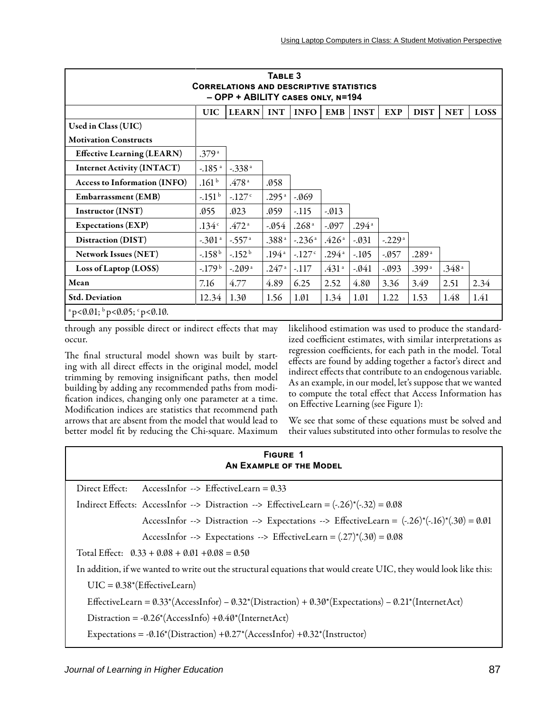| TABLE 3<br><b>CORRELATIONS AND DESCRIPTIVE STATISTICS</b><br>- OPP + ABILITY CASES ONLY, N=194 |                      |                       |                   |                       |                   |                   |                      |                   |                   |             |
|------------------------------------------------------------------------------------------------|----------------------|-----------------------|-------------------|-----------------------|-------------------|-------------------|----------------------|-------------------|-------------------|-------------|
|                                                                                                | <b>UIC</b>           | <b>LEARN</b>          | <b>INT</b>        | <b>INFO</b>           | <b>EMB</b>        | <b>INST</b>       | <b>EXP</b>           | <b>DIST</b>       | <b>NET</b>        | <b>LOSS</b> |
| Used in Class (UIC)                                                                            |                      |                       |                   |                       |                   |                   |                      |                   |                   |             |
| <b>Motivation Constructs</b>                                                                   |                      |                       |                   |                       |                   |                   |                      |                   |                   |             |
| <b>Effective Learning (LEARN)</b>                                                              | .379 <sup>a</sup>    |                       |                   |                       |                   |                   |                      |                   |                   |             |
| <b>Internet Activity (INTACT)</b>                                                              | $-185$ <sup>a</sup>  | $-0.338$ <sup>a</sup> |                   |                       |                   |                   |                      |                   |                   |             |
| <b>Access to Information (INFO)</b>                                                            | .161 <sup>b</sup>    | .478 <sup>a</sup>     | .058              |                       |                   |                   |                      |                   |                   |             |
| <b>Embarrassment</b> (EMB)                                                                     | $-151^{b}$           | $-127$ °              | .295 <sup>a</sup> | $-0.069$              |                   |                   |                      |                   |                   |             |
| Instructor (INST)                                                                              | .055                 | .023                  | .059              | $-115$                | $-0.013$          |                   |                      |                   |                   |             |
| <b>Expectations (EXP)</b>                                                                      | .134 <sup>c</sup>    | .472 <sup>a</sup>     | $-0.054$          | .268 <sup>a</sup>     | $-.097$           | .294 <sup>a</sup> |                      |                   |                   |             |
| Distraction (DIST)                                                                             | $-.301$ <sup>a</sup> | $-557$ <sup>a</sup>   | .388 <sup>a</sup> | $-0.236$ <sup>a</sup> | .426 <sup>a</sup> | $-.031$           | $-.229$ <sup>a</sup> |                   |                   |             |
| <b>Network Issues (NET)</b>                                                                    | $-158b$              | $-152b$               | .194 <sup>a</sup> | $-127c$               | .294 <sup>a</sup> | $-105$            | $-0.057$             | .289 <sup>a</sup> |                   |             |
| Loss of Laptop (LOSS)                                                                          | $-179b$              | $-.209a$              | .247 <sup>a</sup> | $-.117$               | .431 <sup>a</sup> | $-0.041$          | $-0.093$             | .399a             | .348 <sup>a</sup> |             |
| Mean                                                                                           | 7.16                 | 4.77                  | 4.89              | 6.25                  | 2.52              | 4.80              | 3.36                 | 3.49              | 2.51              | 2.34        |
| <b>Std. Deviation</b>                                                                          | 12.34                | 1.30                  | 1.56              | 1.01                  | 1.34              | 1.01              | 1.22                 | 1.53              | 1.48              | 1.41        |
| <sup>a</sup> p<0.01; <sup>b</sup> p<0.05; <sup>c</sup> p<0.10.                                 |                      |                       |                   |                       |                   |                   |                      |                   |                   |             |

through any possible direct or indirect effects that may occur.

The final structural model shown was built by starting with all direct effects in the original model, model trimming by removing insignificant paths, then model building by adding any recommended paths from modification indices, changing only one parameter at a time. Modification indices are statistics that recommend path arrows that are absent from the model that would lead to better model fit by reducing the Chi-square. Maximum likelihood estimation was used to produce the standardized coefficient estimates, with similar interpretations as regression coefficients, for each path in the model. Total effects are found by adding together a factor's direct and indirect effects that contribute to an endogenous variable. As an example, in our model, let's suppose that we wanted to compute the total effect that Access Information has on Effective Learning (see Figure 1):

We see that some of these equations must be solved and their values substituted into other formulas to resolve the

### **Figure 1 An Example of the Model**

| Direct Effect:<br>AccessInfor --> EffectiveLearn = $0.33$                                                                          |
|------------------------------------------------------------------------------------------------------------------------------------|
| Indirect Effects: AccessInfor --> Distraction --> EffectiveLearn = $(-.26)^*(-.32) = 0.08$                                         |
| AccessInfor --> Distraction --> Expectations --> EffectiveLearn = $(-.26)^*(-.16)^*(.30) = 0.01$                                   |
| AccessInfor --> Expectations --> EffectiveLearn = $(.27)^*(.30) = 0.08$                                                            |
| Total Effect: $0.33 + 0.08 + 0.01 + 0.08 = 0.50$                                                                                   |
| In addition, if we wanted to write out the structural equations that would create UIC, they would look like this:                  |
| $UIC = 0.38*(EffectiveLearn)$                                                                                                      |
| EffectiveLearn = $0.33*(\text{AccessInfor}) - 0.32*(\text{Distribution}) + 0.30*(\text{Expectations}) - 0.21*(\text{InternetAct})$ |
| Distraction = $-0.26*(\text{AccessInfo}) + 0.40*(\text{InternetAct})$                                                              |
| Expectations = -0.16*(Distraction) +0.27*(AccessInfor) +0.32*(Instructor)                                                          |
|                                                                                                                                    |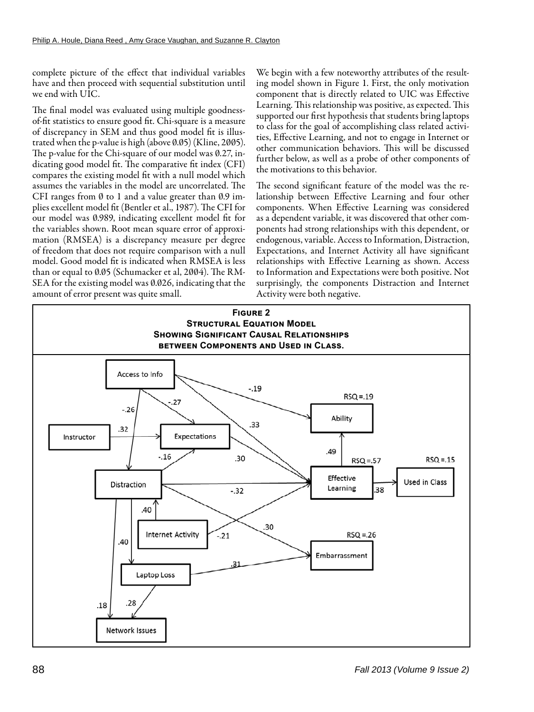complete picture of the effect that individual variables have and then proceed with sequential substitution until we end with UIC.

The final model was evaluated using multiple goodnessof-fit statistics to ensure good fit. Chi-square is a measure of discrepancy in SEM and thus good model fit is illustrated when the p-value is high (above 0.05) (Kline, 2005). The p-value for the Chi-square of our model was 0.27, indicating good model fit. The comparative fit index (CFI) compares the existing model fit with a null model which assumes the variables in the model are uncorrelated. The CFI ranges from  $\emptyset$  to 1 and a value greater than  $\emptyset$ .9 implies excellent model fit (Bentler et al., 1987). The CFI for our model was 0.989, indicating excellent model fit for the variables shown. Root mean square error of approximation (RMSEA) is a discrepancy measure per degree of freedom that does not require comparison with a null model. Good model fit is indicated when RMSEA is less than or equal to 0.05 (Schumacker et al, 2004). The RM-SEA for the existing model was 0.026, indicating that the amount of error present was quite small.

We begin with a few noteworthy attributes of the resulting model shown in Figure 1. First, the only motivation component that is directly related to UIC was Effective Learning. This relationship was positive, as expected. This supported our first hypothesis that students bring laptops to class for the goal of accomplishing class related activities, Effective Learning, and not to engage in Internet or other communication behaviors. This will be discussed further below, as well as a probe of other components of the motivations to this behavior.

The second significant feature of the model was the relationship between Effective Learning and four other components. When Effective Learning was considered as a dependent variable, it was discovered that other components had strong relationships with this dependent, or endogenous, variable. Access to Information, Distraction, Expectations, and Internet Activity all have significant relationships with Effective Learning as shown. Access to Information and Expectations were both positive. Not surprisingly, the components Distraction and Internet Activity were both negative.

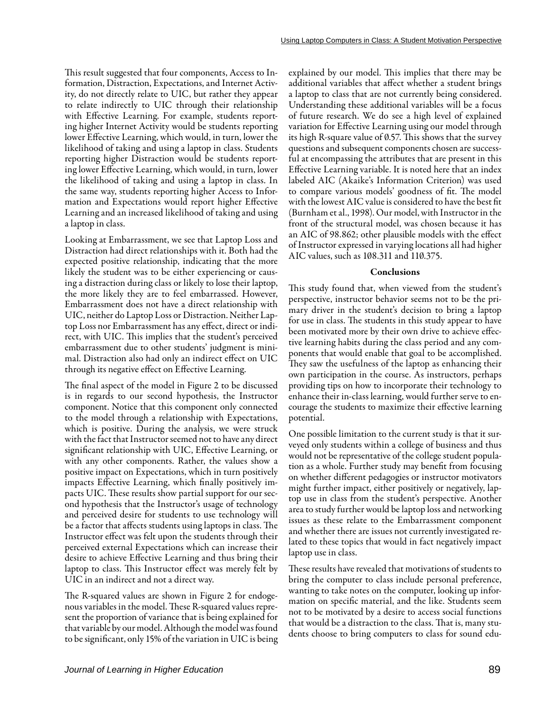This result suggested that four components, Access to Information, Distraction, Expectations, and Internet Activity, do not directly relate to UIC, but rather they appear to relate indirectly to UIC through their relationship with Effective Learning. For example, students reporting higher Internet Activity would be students reporting lower Effective Learning, which would, in turn, lower the likelihood of taking and using a laptop in class. Students reporting higher Distraction would be students reporting lower Effective Learning, which would, in turn, lower the likelihood of taking and using a laptop in class. In the same way, students reporting higher Access to Information and Expectations would report higher Effective Learning and an increased likelihood of taking and using a laptop in class.

Looking at Embarrassment, we see that Laptop Loss and Distraction had direct relationships with it. Both had the expected positive relationship, indicating that the more likely the student was to be either experiencing or causing a distraction during class or likely to lose their laptop, the more likely they are to feel embarrassed. However, Embarrassment does not have a direct relationship with UIC, neither do Laptop Loss or Distraction. Neither Laptop Loss nor Embarrassment has any effect, direct or indirect, with UIC. This implies that the student's perceived embarrassment due to other students' judgment is minimal. Distraction also had only an indirect effect on UIC through its negative effect on Effective Learning.

The final aspect of the model in Figure 2 to be discussed is in regards to our second hypothesis, the Instructor component. Notice that this component only connected to the model through a relationship with Expectations, which is positive. During the analysis, we were struck with the fact that Instructor seemed not to have any direct significant relationship with UIC, Effective Learning, or with any other components. Rather, the values show a positive impact on Expectations, which in turn positively impacts Effective Learning, which finally positively impacts UIC. These results show partial support for our second hypothesis that the Instructor's usage of technology and perceived desire for students to use technology will be a factor that affects students using laptops in class. The Instructor effect was felt upon the students through their perceived external Expectations which can increase their desire to achieve Effective Learning and thus bring their laptop to class. This Instructor effect was merely felt by UIC in an indirect and not a direct way.

The R-squared values are shown in Figure 2 for endogenous variables in the model. These R-squared values represent the proportion of variance that is being explained for that variable by our model. Although the model was found to be significant, only 15% of the variation in UIC is being

explained by our model. This implies that there may be additional variables that affect whether a student brings a laptop to class that are not currently being considered. Understanding these additional variables will be a focus of future research. We do see a high level of explained variation for Effective Learning using our model through its high R-square value of 0.57. This shows that the survey questions and subsequent components chosen are successful at encompassing the attributes that are present in this Effective Learning variable. It is noted here that an index labeled AIC (Akaike's Information Criterion) was used to compare various models' goodness of fit. The model with the lowest AIC value is considered to have the best fit (Burnham et al., 1998). Our model, with Instructor in the front of the structural model, was chosen because it has an AIC of 98.862; other plausible models with the effect of Instructor expressed in varying locations all had higher AIC values, such as 108.311 and 110.375.

### **Conclusions**

This study found that, when viewed from the student's perspective, instructor behavior seems not to be the primary driver in the student's decision to bring a laptop for use in class. The students in this study appear to have been motivated more by their own drive to achieve effective learning habits during the class period and any components that would enable that goal to be accomplished. They saw the usefulness of the laptop as enhancing their own participation in the course. As instructors, perhaps providing tips on how to incorporate their technology to enhance their in-class learning, would further serve to encourage the students to maximize their effective learning potential.

One possible limitation to the current study is that it surveyed only students within a college of business and thus would not be representative of the college student population as a whole. Further study may benefit from focusing on whether different pedagogies or instructor motivators might further impact, either positively or negatively, laptop use in class from the student's perspective. Another area to study further would be laptop loss and networking issues as these relate to the Embarrassment component and whether there are issues not currently investigated related to these topics that would in fact negatively impact laptop use in class.

These results have revealed that motivations of students to bring the computer to class include personal preference, wanting to take notes on the computer, looking up information on specific material, and the like. Students seem not to be motivated by a desire to access social functions that would be a distraction to the class. That is, many students choose to bring computers to class for sound edu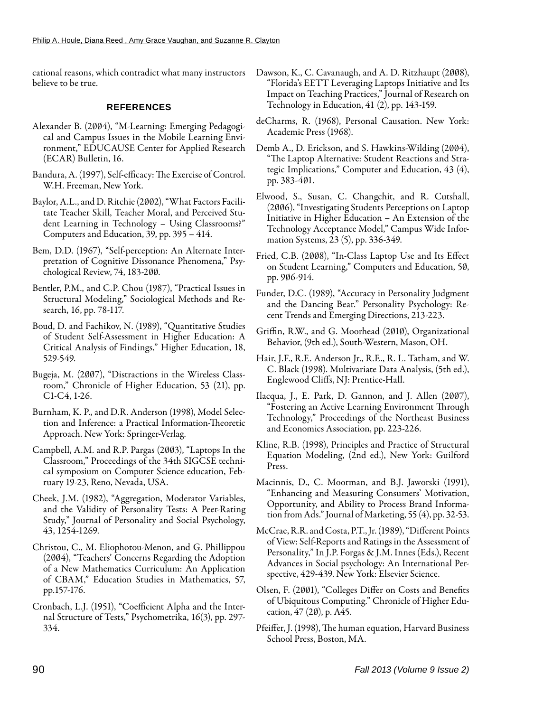cational reasons, which contradict what many instructors believe to be true.

### **REFERENCES**

- Alexander B. (2004), "M-Learning: Emerging Pedagogical and Campus Issues in the Mobile Learning Environment," EDUCAUSE Center for Applied Research (ECAR) Bulletin, 16.
- Bandura, A. (1997), Self-efficacy: The Exercise of Control. W.H. Freeman, New York.
- Baylor, A.L., and D. Ritchie (2002), "What Factors Facilitate Teacher Skill, Teacher Moral, and Perceived Student Learning in Technology – Using Classrooms?" Computers and Education, 39, pp. 395 – 414.
- Bem, D.D. (1967), "Self-perception: An Alternate Interpretation of Cognitive Dissonance Phenomena," Psychological Review, 74, 183-200.
- Bentler, P.M., and C.P. Chou (1987), "Practical Issues in Structural Modeling," Sociological Methods and Research, 16, pp. 78-117.
- Boud, D. and Fachikov, N. (1989), "Quantitative Studies of Student Self-Assessment in Higher Education: A Critical Analysis of Findings," Higher Education, 18, 529-549.
- Bugeja, M. (2007), "Distractions in the Wireless Classroom," Chronicle of Higher Education, 53 (21), pp. C1-C4, 1-26.
- Burnham, K. P., and D.R. Anderson (1998), Model Selection and Inference: a Practical Information-Theoretic Approach. New York: Springer-Verlag.
- Campbell, A.M. and R.P. Pargas (2003), "Laptops In the Classroom," Proceedings of the 34th SIGCSE technical symposium on Computer Science education, February 19-23, Reno, Nevada, USA.
- Cheek, J.M. (1982), "Aggregation, Moderator Variables, and the Validity of Personality Tests: A Peer-Rating Study," Journal of Personality and Social Psychology, 43, 1254-1269.
- Christou, C., M. Eliophotou-Menon, and G. Phillippou (2004), "Teachers' Concerns Regarding the Adoption of a New Mathematics Curriculum: An Application of CBAM," Education Studies in Mathematics, 57, pp.157-176.
- Cronbach, L.J. (1951), "Coefficient Alpha and the Internal Structure of Tests," Psychometrika, 16(3), pp. 297- 334.
- Dawson, K., C. Cavanaugh, and A. D. Ritzhaupt (2008), "Florida's EETT Leveraging Laptops Initiative and Its Impact on Teaching Practices," Journal of Research on Technology in Education, 41 (2), pp. 143-159.
- deCharms, R. (1968), Personal Causation. New York: Academic Press (1968).
- Demb A., D. Erickson, and S. Hawkins-Wilding (2004), "The Laptop Alternative: Student Reactions and Strategic Implications," Computer and Education, 43 (4), pp. 383-401.
- Elwood, S., Susan, C. Changchit, and R. Cutshall, (2006), "Investigating Students Perceptions on Laptop Initiative in Higher Education – An Extension of the Technology Acceptance Model," Campus Wide Information Systems, 23 (5), pp. 336-349.
- Fried, C.B. (2008), "In-Class Laptop Use and Its Effect on Student Learning," Computers and Education, 50, pp. 906-914.
- Funder, D.C. (1989), "Accuracy in Personality Judgment and the Dancing Bear." Personality Psychology: Recent Trends and Emerging Directions, 213-223.
- Griffin, R.W., and G. Moorhead (2010), Organizational Behavior, (9th ed.), South-Western, Mason, OH.
- Hair, J.F., R.E. Anderson Jr., R.E., R. L. Tatham, and W. C. Black (1998). Multivariate Data Analysis, (5th ed.), Englewood Cliffs, NJ: Prentice-Hall.
- Ilacqua, J., E. Park, D. Gannon, and J. Allen (2007), "Fostering an Active Learning Environment Through Technology," Proceedings of the Northeast Business and Economics Association, pp. 223-226.
- Kline, R.B. (1998), Principles and Practice of Structural Equation Modeling, (2nd ed.), New York: Guilford Press.
- Macinnis, D., C. Moorman, and B.J. Jaworski (1991), "Enhancing and Measuring Consumers' Motivation, Opportunity, and Ability to Process Brand Information from Ads." Journal of Marketing, 55 (4), pp. 32-53.
- McCrae, R.R. and Costa, P.T., Jr. (1989), "Different Points of View: Self-Reports and Ratings in the Assessment of Personality," In J.P. Forgas & J.M. Innes (Eds.), Recent Advances in Social psychology: An International Perspective, 429-439. New York: Elsevier Science.
- Olsen, F. (2001), "Colleges Differ on Costs and Benefits of Ubiquitous Computing." Chronicle of Higher Education, 47 (20), p. A45.
- Pfeiffer, J. (1998), The human equation, Harvard Business School Press, Boston, MA.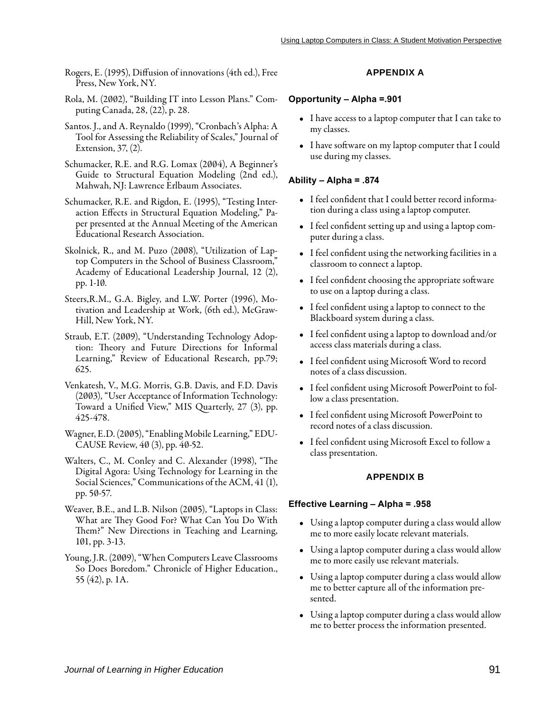- Rogers, E. (1995), Diffusion of innovations (4th ed.), Free Press, New York, NY.
- Rola, M. (2002), "Building IT into Lesson Plans." Computing Canada, 28, (22), p. 28.
- Santos. J., and A. Reynaldo (1999), "Cronbach's Alpha: A Tool for Assessing the Reliability of Scales," Journal of Extension, 37, (2).
- Schumacker, R.E. and R.G. Lomax (2004), A Beginner's Guide to Structural Equation Modeling (2nd ed.), Mahwah, NJ: Lawrence Erlbaum Associates.
- Schumacker, R.E. and Rigdon, E. (1995), "Testing Interaction Effects in Structural Equation Modeling," Paper presented at the Annual Meeting of the American Educational Research Association.
- Skolnick, R., and M. Puzo (2008), "Utilization of Laptop Computers in the School of Business Classroom," Academy of Educational Leadership Journal, 12 (2), pp. 1-10.
- Steers,R.M., G.A. Bigley, and L.W. Porter (1996), Motivation and Leadership at Work, (6th ed.), McGraw-Hill, New York, NY.
- Straub, E.T. (2009), "Understanding Technology Adoption: Theory and Future Directions for Informal Learning," Review of Educational Research, pp.79; 625.
- Venkatesh, V., M.G. Morris, G.B. Davis, and F.D. Davis (2003), "User Acceptance of Information Technology: Toward a Unified View," MIS Quarterly, 27 (3), pp. 425-478.
- Wagner, E.D. (2005), "Enabling Mobile Learning," EDU-CAUSE Review, 40 (3), pp. 40-52.
- Walters, C., M. Conley and C. Alexander (1998), "The Digital Agora: Using Technology for Learning in the Social Sciences," Communications of the ACM, 41 (1), pp. 50-57.
- Weaver, B.E., and L.B. Nilson (2005), "Laptops in Class: What are They Good For? What Can You Do With Them?" New Directions in Teaching and Learning, 101, pp. 3-13.
- Young, J.R. (2009), "When Computers Leave Classrooms So Does Boredom." Chronicle of Higher Education., 55 (42), p. 1A.

### **APPENDIX A**

#### **Opportunity – Alpha =.901**

- I have access to a laptop computer that I can take to my classes.
- I have software on my laptop computer that I could use during my classes.

#### **Ability – Alpha = .874**

- I feel confident that I could better record information during a class using a laptop computer.
- • I feel confident setting up and using a laptop computer during a class.
- • I feel confident using the networking facilities in a classroom to connect a laptop.
- I feel confident choosing the appropriate software to use on a laptop during a class.
- I feel confident using a laptop to connect to the Blackboard system during a class.
- I feel confident using a laptop to download and/or access class materials during a class.
- • I feel confident using Microsoft Word to record notes of a class discussion.
- I feel confident using Microsoft PowerPoint to follow a class presentation.
- • I feel confident using Microsoft PowerPoint to record notes of a class discussion.
- • I feel confident using Microsoft Excel to follow a class presentation.

#### **APPENDIX B**

#### **Effective Learning – Alpha = .958**

- Using a laptop computer during a class would allow me to more easily locate relevant materials.
- Using a laptop computer during a class would allow me to more easily use relevant materials.
- • Using a laptop computer during a class would allow me to better capture all of the information presented.
- Using a laptop computer during a class would allow me to better process the information presented.